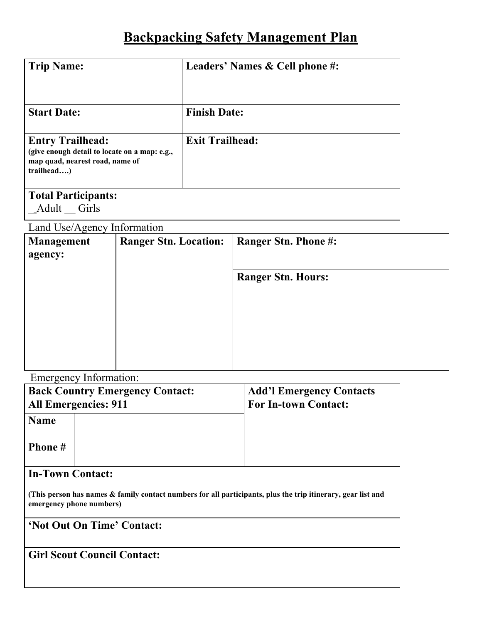## **Backpacking Safety Management Plan**

| <b>Trip Name:</b>                                                                                                         | Leaders' Names & Cell phone #: |  |  |  |  |
|---------------------------------------------------------------------------------------------------------------------------|--------------------------------|--|--|--|--|
| <b>Start Date:</b>                                                                                                        | <b>Finish Date:</b>            |  |  |  |  |
| <b>Entry Trailhead:</b><br>(give enough detail to locate on a map: e.g.,<br>map quad, nearest road, name of<br>trailhead) | <b>Exit Trailhead:</b>         |  |  |  |  |
| <b>Total Participants:</b><br>Girls<br>Adult                                                                              |                                |  |  |  |  |

Land Use/Agency Information

| <b>Management</b><br>agency: | <b>Ranger Stn. Location:</b> | <b>Ranger Stn. Phone #:</b> |  |  |  |  |
|------------------------------|------------------------------|-----------------------------|--|--|--|--|
|                              |                              | <b>Ranger Stn. Hours:</b>   |  |  |  |  |
|                              |                              |                             |  |  |  |  |

Emergency Information:

| --- <i>0----</i> 1                                                                                                                       | <b>Back Country Emergency Contact:</b><br><b>All Emergencies: 911</b> | <b>Add'l Emergency Contacts</b><br><b>For In-town Contact:</b> |  |  |  |  |  |
|------------------------------------------------------------------------------------------------------------------------------------------|-----------------------------------------------------------------------|----------------------------------------------------------------|--|--|--|--|--|
| <b>Name</b>                                                                                                                              |                                                                       |                                                                |  |  |  |  |  |
| Phone #                                                                                                                                  |                                                                       |                                                                |  |  |  |  |  |
| <b>In-Town Contact:</b>                                                                                                                  |                                                                       |                                                                |  |  |  |  |  |
| (This person has names & family contact numbers for all participants, plus the trip itinerary, gear list and<br>emergency phone numbers) |                                                                       |                                                                |  |  |  |  |  |
| 'Not Out On Time' Contact:                                                                                                               |                                                                       |                                                                |  |  |  |  |  |
| <b>Girl Scout Council Contact:</b>                                                                                                       |                                                                       |                                                                |  |  |  |  |  |
|                                                                                                                                          |                                                                       |                                                                |  |  |  |  |  |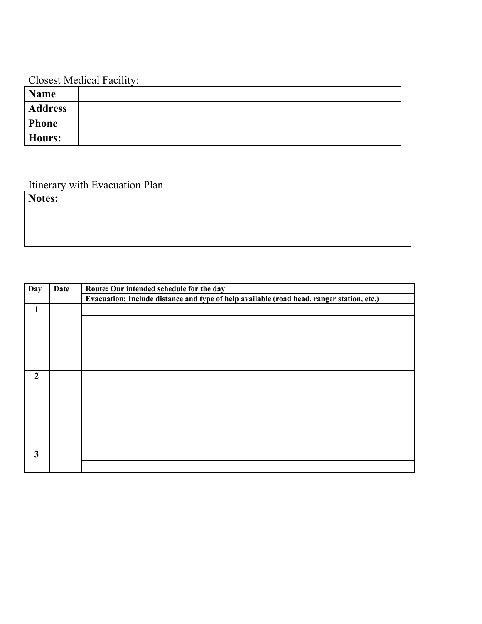## Closest Medical Facility:

| <b>Name</b>    |  |
|----------------|--|
| <b>Address</b> |  |
| Phone          |  |
| Hours:         |  |

## Itinerary with Evacuation Plan

**Notes:**

| Day                     | Date | Route: Our intended schedule for the day                                                  |  |  |  |  |  |
|-------------------------|------|-------------------------------------------------------------------------------------------|--|--|--|--|--|
|                         |      | Evacuation: Include distance and type of help available (road head, ranger station, etc.) |  |  |  |  |  |
| 1                       |      |                                                                                           |  |  |  |  |  |
|                         |      |                                                                                           |  |  |  |  |  |
|                         |      |                                                                                           |  |  |  |  |  |
|                         |      |                                                                                           |  |  |  |  |  |
|                         |      |                                                                                           |  |  |  |  |  |
|                         |      |                                                                                           |  |  |  |  |  |
| $\overline{2}$          |      |                                                                                           |  |  |  |  |  |
|                         |      |                                                                                           |  |  |  |  |  |
|                         |      |                                                                                           |  |  |  |  |  |
|                         |      |                                                                                           |  |  |  |  |  |
|                         |      |                                                                                           |  |  |  |  |  |
|                         |      |                                                                                           |  |  |  |  |  |
|                         |      |                                                                                           |  |  |  |  |  |
| $\overline{\mathbf{3}}$ |      |                                                                                           |  |  |  |  |  |
|                         |      |                                                                                           |  |  |  |  |  |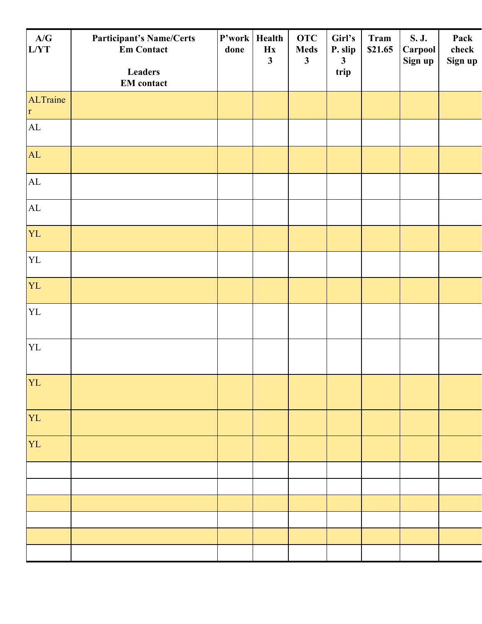| <b>Participant's Name/Certs</b><br><b>Em Contact</b> | done | Health<br>Hx<br>$\mathbf{3}$ | <b>OTC</b><br><b>Meds</b><br>$\mathbf{3}$ | Girl's<br>P. slip<br>$\mathbf{3}$ | <b>Tram</b><br>\$21.65 | S. J.<br>Carpool | Pack<br>check<br>Sign up |
|------------------------------------------------------|------|------------------------------|-------------------------------------------|-----------------------------------|------------------------|------------------|--------------------------|
| <b>Leaders</b><br><b>EM</b> contact                  |      |                              |                                           | trip                              |                        |                  |                          |
|                                                      |      |                              |                                           |                                   |                        |                  |                          |
|                                                      |      |                              |                                           |                                   |                        |                  |                          |
|                                                      |      |                              |                                           |                                   |                        |                  |                          |
|                                                      |      |                              |                                           |                                   |                        |                  |                          |
|                                                      |      |                              |                                           |                                   |                        |                  |                          |
|                                                      |      |                              |                                           |                                   |                        |                  |                          |
|                                                      |      |                              |                                           |                                   |                        |                  |                          |
|                                                      |      |                              |                                           |                                   |                        |                  |                          |
|                                                      |      |                              |                                           |                                   |                        |                  |                          |
|                                                      |      |                              |                                           |                                   |                        |                  |                          |
|                                                      |      |                              |                                           |                                   |                        |                  |                          |
|                                                      |      |                              |                                           |                                   |                        |                  |                          |
|                                                      |      |                              |                                           |                                   |                        |                  |                          |
|                                                      |      |                              |                                           |                                   |                        |                  |                          |
|                                                      |      |                              |                                           |                                   |                        |                  |                          |
|                                                      |      |                              |                                           |                                   |                        |                  |                          |
|                                                      |      |                              |                                           |                                   |                        |                  |                          |
|                                                      |      |                              |                                           |                                   |                        |                  |                          |
|                                                      |      |                              | P'work                                    |                                   |                        |                  | Sign up                  |